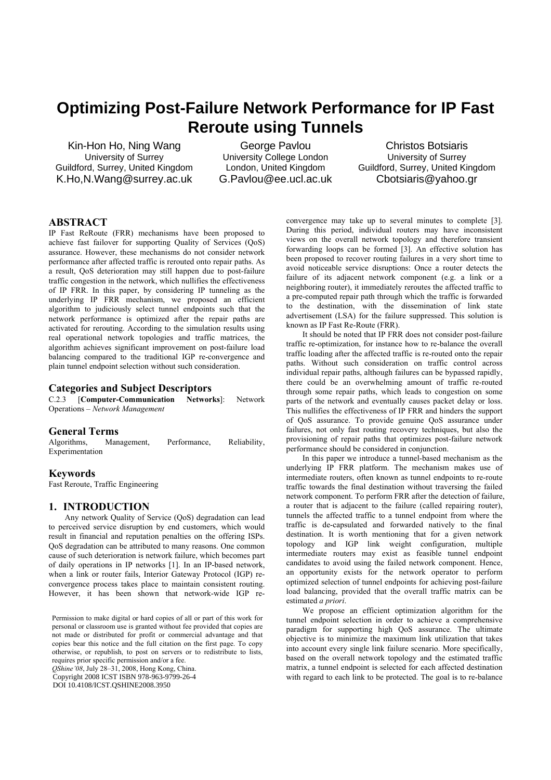# **Optimizing Post-Failure Network Performance for IP Fast Reroute using Tunnels**

Kin-Hon Ho, Ning Wang University of Surrey Guildford, Surrey, United Kingdom K.Ho,N.Wang@surrey.ac.uk

George Pavlou University College London London, United Kingdom G.Pavlou@ee.ucl.ac.uk

Christos Botsiaris University of Surrey Guildford, Surrey, United Kingdom Cbotsiaris@yahoo.gr

# **ABSTRACT**

IP Fast ReRoute (FRR) mechanisms have been proposed to achieve fast failover for supporting Quality of Services (QoS) assurance. However, these mechanisms do not consider network performance after affected traffic is rerouted onto repair paths. As a result, QoS deterioration may still happen due to post-failure traffic congestion in the network, which nullifies the effectiveness of IP FRR. In this paper, by considering IP tunneling as the underlying IP FRR mechanism, we proposed an efficient algorithm to judiciously select tunnel endpoints such that the network performance is optimized after the repair paths are activated for rerouting. According to the simulation results using real operational network topologies and traffic matrices, the algorithm achieves significant improvement on post-failure load balancing compared to the traditional IGP re-convergence and plain tunnel endpoint selection without such consideration.

## **Categories and Subject Descriptors**

C.2.3 [**Computer-Communication Networks**]: Network Operations – *Network Management* 

## **General Terms**

Algorithms, Management, Performance, Reliability, Experimentation

## **Keywords**

Fast Reroute, Traffic Engineering

## **1. INTRODUCTION**

Any network Quality of Service (QoS) degradation can lead to perceived service disruption by end customers, which would result in financial and reputation penalties on the offering ISPs. QoS degradation can be attributed to many reasons. One common cause of such deterioration is network failure, which becomes part of daily operations in IP networks [1]. In an IP-based network, when a link or router fails, Interior Gateway Protocol (IGP) reconvergence process takes place to maintain consistent routing. However, it has been shown that network-wide IGP re-

Permission to make digital or hard copies of all or part of this work for personal or classroom use is granted without fee provided that copies are not made or distributed for profit or commercial advantage and that copies bear this notice and the full citation on the first page. To copy otherwise, or republish, to post on servers or to redistribute to lists, requires prior specific permission and/or a fee.

*QShine'08*, July 28–31, 2008, Hong Kong, China. Copyright 2008 ICST ISBN 978-963-9799-26-4 DOI 10.4108/ICST.OSHINE2008.3950

convergence may take up to several minutes to complete [3]. During this period, individual routers may have inconsistent views on the overall network topology and therefore transient forwarding loops can be formed [3]. An effective solution has been proposed to recover routing failures in a very short time to avoid noticeable service disruptions: Once a router detects the failure of its adjacent network component (e.g. a link or a neighboring router), it immediately reroutes the affected traffic to a pre-computed repair path through which the traffic is forwarded to the destination, with the dissemination of link state advertisement (LSA) for the failure suppressed. This solution is known as IP Fast Re-Route (FRR).

It should be noted that IP FRR does not consider post-failure traffic re-optimization, for instance how to re-balance the overall traffic loading after the affected traffic is re-routed onto the repair paths. Without such consideration on traffic control across individual repair paths, although failures can be bypassed rapidly, there could be an overwhelming amount of traffic re-routed through some repair paths, which leads to congestion on some parts of the network and eventually causes packet delay or loss. This nullifies the effectiveness of IP FRR and hinders the support of QoS assurance. To provide genuine QoS assurance under failures, not only fast routing recovery techniques, but also the provisioning of repair paths that optimizes post-failure network performance should be considered in conjunction.

In this paper we introduce a tunnel-based mechanism as the underlying IP FRR platform. The mechanism makes use of intermediate routers, often known as tunnel endpoints to re-route traffic towards the final destination without traversing the failed network component. To perform FRR after the detection of failure, a router that is adjacent to the failure (called repairing router), tunnels the affected traffic to a tunnel endpoint from where the traffic is de-capsulated and forwarded natively to the final destination. It is worth mentioning that for a given network topology and IGP link weight configuration, multiple intermediate routers may exist as feasible tunnel endpoint candidates to avoid using the failed network component. Hence, an opportunity exists for the network operator to perform optimized selection of tunnel endpoints for achieving post-failure load balancing, provided that the overall traffic matrix can be estimated *a priori*.

We propose an efficient optimization algorithm for the tunnel endpoint selection in order to achieve a comprehensive paradigm for supporting high QoS assurance. The ultimate objective is to minimize the maximum link utilization that takes into account every single link failure scenario. More specifically, based on the overall network topology and the estimated traffic matrix, a tunnel endpoint is selected for each affected destination with regard to each link to be protected. The goal is to re-balance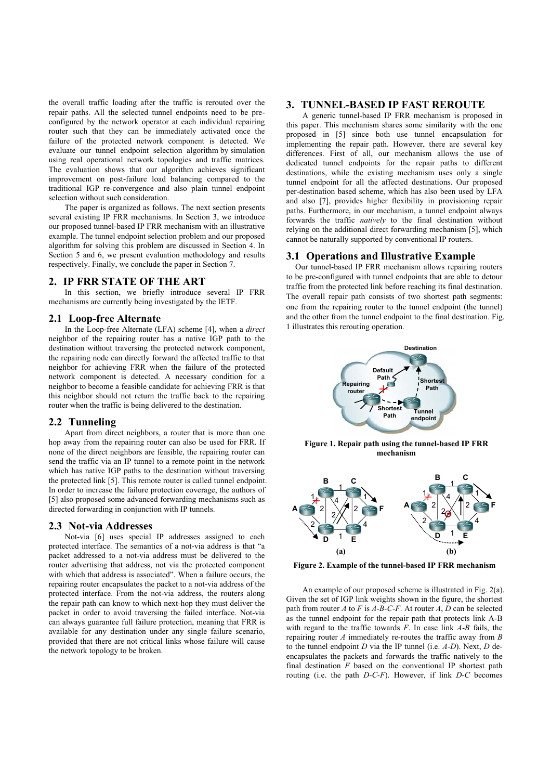the overall traffic loading after the traffic is rerouted over the repair paths. All the selected tunnel endpoints need to be preconfigured by the network operator at each individual repairing router such that they can be immediately activated once the failure of the protected network component is detected. We evaluate our tunnel endpoint selection algorithm by simulation using real operational network topologies and traffic matrices. The evaluation shows that our algorithm achieves significant improvement on post-failure load balancing compared to the traditional IGP re-convergence and also plain tunnel endpoint selection without such consideration.

The paper is organized as follows. The next section presents several existing IP FRR mechanisms. In Section 3, we introduce our proposed tunnel-based IP FRR mechanism with an illustrative example. The tunnel endpoint selection problem and our proposed algorithm for solving this problem are discussed in Section 4. In Section 5 and 6, we present evaluation methodology and results respectively. Finally, we conclude the paper in Section 7.

## **2. IP FRR STATE OF THE ART**

In this section, we briefly introduce several IP FRR mechanisms are currently being investigated by the IETF.

#### **2.1 Loop-free Alternate**

In the Loop-free Alternate (LFA) scheme [4], when a *direct* neighbor of the repairing router has a native IGP path to the destination without traversing the protected network component, the repairing node can directly forward the affected traffic to that neighbor for achieving FRR when the failure of the protected network component is detected. A necessary condition for a neighbor to become a feasible candidate for achieving FRR is that this neighbor should not return the traffic back to the repairing router when the traffic is being delivered to the destination.

## **2.2 Tunneling**

Apart from direct neighbors, a router that is more than one hop away from the repairing router can also be used for FRR. If none of the direct neighbors are feasible, the repairing router can send the traffic via an IP tunnel to a remote point in the network which has native IGP paths to the destination without traversing the protected link [5]. This remote router is called tunnel endpoint. In order to increase the failure protection coverage, the authors of [5] also proposed some advanced forwarding mechanisms such as directed forwarding in conjunction with IP tunnels.

#### **2.3 Not-via Addresses**

Not-via [6] uses special IP addresses assigned to each protected interface. The semantics of a not-via address is that "a packet addressed to a not-via address must be delivered to the router advertising that address, not via the protected component with which that address is associated". When a failure occurs, the repairing router encapsulates the packet to a not-via address of the protected interface. From the not-via address, the routers along the repair path can know to which next-hop they must deliver the packet in order to avoid traversing the failed interface. Not-via can always guarantee full failure protection, meaning that FRR is available for any destination under any single failure scenario, provided that there are not critical links whose failure will cause the network topology to be broken.

## **3. TUNNEL-BASED IP FAST REROUTE**

A generic tunnel-based IP FRR mechanism is proposed in this paper. This mechanism shares some similarity with the one proposed in [5] since both use tunnel encapsulation for implementing the repair path. However, there are several key differences. First of all, our mechanism allows the use of dedicated tunnel endpoints for the repair paths to different destinations, while the existing mechanism uses only a single tunnel endpoint for all the affected destinations. Our proposed per-destination based scheme, which has also been used by LFA and also [7], provides higher flexibility in provisioning repair paths. Furthermore, in our mechanism, a tunnel endpoint always forwards the traffic *natively* to the final destination without relying on the additional direct forwarding mechanism [5], which cannot be naturally supported by conventional IP routers.

## **3.1 Operations and Illustrative Example**

Our tunnel-based IP FRR mechanism allows repairing routers to be pre-configured with tunnel endpoints that are able to detour traffic from the protected link before reaching its final destination. The overall repair path consists of two shortest path segments: one from the repairing router to the tunnel endpoint (the tunnel) and the other from the tunnel endpoint to the final destination. Fig. 1 illustrates this rerouting operation.



**Figure 1. Repair path using the tunnel-based IP FRR mechanism** 



 **Figure 2. Example of the tunnel-based IP FRR mechanism** 

An example of our proposed scheme is illustrated in Fig. 2(a). Given the set of IGP link weights shown in the figure, the shortest path from router *A* to *F* is *A-B-C-F*. At router *A*, *D* can be selected as the tunnel endpoint for the repair path that protects link A-B with regard to the traffic towards *F*. In case link *A*-*B* fails, the repairing router *A* immediately re-routes the traffic away from *B* to the tunnel endpoint *D* via the IP tunnel (i.e. *A-D*). Next, *D* deencapsulates the packets and forwards the traffic natively to the final destination *F* based on the conventional IP shortest path routing (i.e. the path *D-C-F*). However, if link *D-C* becomes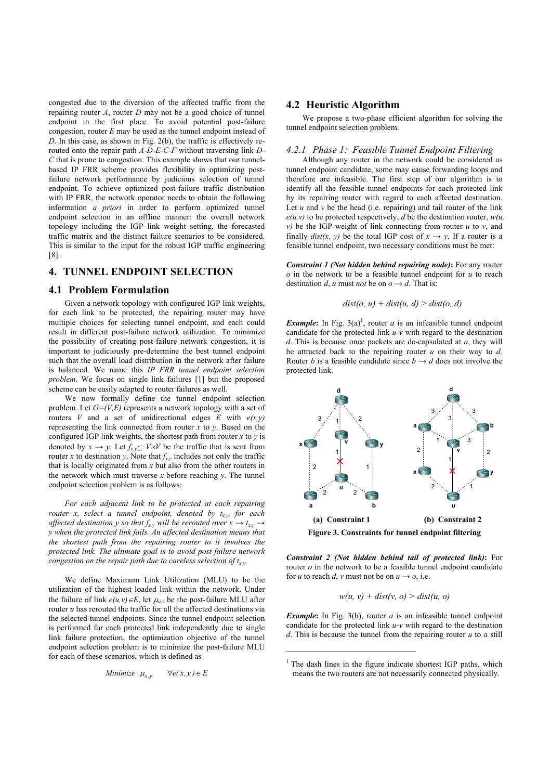congested due to the diversion of the affected traffic from the repairing router *A*, router *D* may not be a good choice of tunnel endpoint in the first place. To avoid potential post-failure congestion, router *E* may be used as the tunnel endpoint instead of *D*. In this case, as shown in Fig. 2(b), the traffic is effectively rerouted onto the repair path *A-D-E-C-F* without traversing link *D-C* that is prone to congestion. This example shows that our tunnelbased IP FRR scheme provides flexibility in optimizing postfailure network performance by judicious selection of tunnel endpoint. To achieve optimized post-failure traffic distribution with IP FRR, the network operator needs to obtain the following information *a priori* in order to perform optimized tunnel endpoint selection in an offline manner: the overall network topology including the IGP link weight setting, the forecasted traffic matrix and the distinct failure scenarios to be considered. This is similar to the input for the robust IGP traffic engineering [8].

## **4. TUNNEL ENDPOINT SELECTION**

#### **4.1 Problem Formulation**

Given a network topology with configured IGP link weights, for each link to be protected, the repairing router may have multiple choices for selecting tunnel endpoint, and each could result in different post-failure network utilization. To minimize the possibility of creating post-failure network congestion, it is important to judiciously pre-determine the best tunnel endpoint such that the overall load distribution in the network after failure is balanced. We name this *IP FRR tunnel endpoint selection problem*. We focus on single link failures [1] but the proposed scheme can be easily adapted to router failures as well.

We now formally define the tunnel endpoint selection problem. Let *G=(V,E)* represents a network topology with a set of routers *V* and a set of unidirectional edges *E* with  $e(x, y)$ representing the link connected from router *x* to *y*. Based on the configured IGP link weights, the shortest path from router  $x$  to  $y$  is denoted by  $x \to y$ . Let  $f_{x,y} \subseteq V \times V$  be the traffic that is sent from router *x* to destination *y*. Note that  $f_{x,y}$  includes not only the traffic that is locally originated from *x* but also from the other routers in the network which must traverse  $x$  before reaching  $y$ . The tunnel endpoint selection problem is as follows:

*For each adjacent link to be protected at each repairing router x, select a tunnel endpoint, denoted by*  $t_{xy}$  *for each affected destination y so that*  $f_{x,y}$  *will be rerouted over*  $x \rightarrow t_{x,y}$   $\rightarrow$ *y when the protected link fails. An affected destination means that the shortest path from the repairing router to it involves the protected link. The ultimate goal is to avoid post-failure network congestion on the repair path due to careless selection of tx,y.* 

We define Maximum Link Utilization (MLU) to be the utilization of the highest loaded link within the network. Under the failure of link  $e(u, v) \in E$ , let  $\mu_{u, v}$  be the post-failure MLU after router *u* has rerouted the traffic for all the affected destinations via the selected tunnel endpoints. Since the tunnel endpoint selection is performed for each protected link independently due to single link failure protection, the optimization objective of the tunnel endpoint selection problem is to minimize the post-failure MLU for each of these scenarios, which is defined as

Minimize 
$$
\mu_{x,y} \quad \forall e(x,y) \in E
$$

## **4.2 Heuristic Algorithm**

We propose a two-phase efficient algorithm for solving the tunnel endpoint selection problem.

## *4.2.1 Phase 1: Feasible Tunnel Endpoint Filtering*

Although any router in the network could be considered as tunnel endpoint candidate, some may cause forwarding loops and therefore are infeasible. The first step of our algorithm is to identify all the feasible tunnel endpoints for each protected link by its repairing router with regard to each affected destination. Let  $u$  and  $v$  be the head (i.e. repairing) and tail router of the link  $e(u, v)$  to be protected respectively, *d* be the destination router,  $w(u, v)$ *v)* be the IGP weight of link connecting from router *u* to *v*, and finally *dist(x, y)* be the total IGP cost of  $x \rightarrow y$ . If a router is a feasible tunnel endpoint, two necessary conditions must be met:

*Constraint 1 (Not hidden behind repairing node)***:** For any router *o* in the network to be a feasible tunnel endpoint for *u* to reach destination *d*, *u* must *not* be on  $o \rightarrow d$ . That is:

$$
dist(o, u) + dist(u, d) > dist(o, d)
$$

*Example*: In Fig.  $3(a)^1$ , router *a* is an infeasible tunnel endpoint candidate for the protected link *u-v* with regard to the destination *d*. This is because once packets are de-capsulated at *a*, they will be attracted back to the repairing router *u* on their way to *d*. Router *b* is a feasible candidate since  $b \rightarrow d$  does not involve the protected link.



*Constraint 2 (Not hidden behind tail of protected link)***:** For router *o* in the network to be a feasible tunnel endpoint candidate for *u* to reach *d*, *v* must not be on  $u \rightarrow o$ , i.e.

$$
w(u, v) + dist(v, o) > dist(u, o)
$$

*Example***:** In Fig. 3(b), router *a* is an infeasible tunnel endpoint candidate for the protected link *u-v* with regard to the destination *d*. This is because the tunnel from the repairing router *u* to *a* still

j

<sup>&</sup>lt;sup>1</sup> The dash lines in the figure indicate shortest IGP paths, which means the two routers are not necessarily connected physically.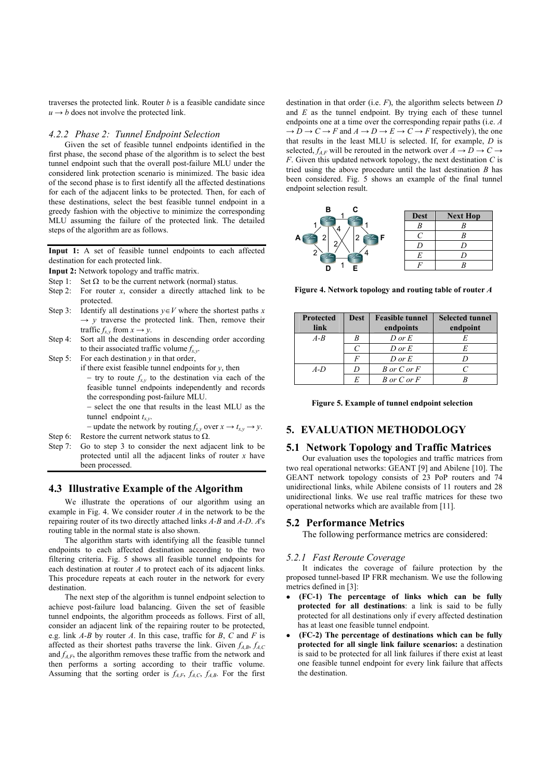traverses the protected link. Router *b* is a feasible candidate since  $u \rightarrow b$  does not involve the protected link.

#### *4.2.2 Phase 2: Tunnel Endpoint Selection*

Given the set of feasible tunnel endpoints identified in the first phase, the second phase of the algorithm is to select the best tunnel endpoint such that the overall post-failure MLU under the considered link protection scenario is minimized. The basic idea of the second phase is to first identify all the affected destinations for each of the adjacent links to be protected. Then, for each of these destinations, select the best feasible tunnel endpoint in a greedy fashion with the objective to minimize the corresponding MLU assuming the failure of the protected link. The detailed steps of the algorithm are as follows.

**Input 1:** A set of feasible tunnel endpoints to each affected destination for each protected link.

**Input 2:** Network topology and traffic matrix.

- Step 1: Set  $\Omega$  to be the current network (normal) status.
- Step 2: For router  $x$ , consider a directly attached link to be protected.
- Step 3: Identify all destinations  $y \in V$  where the shortest paths *x*  $\rightarrow$  *y* traverse the protected link. Then, remove their traffic  $f_{x,y}$  from  $x \rightarrow y$ .
- Step 4: Sort all the destinations in descending order according to their associated traffic volume  $f_{x,y}$ .
- Step 5: For each destination *y* in that order,
	- if there exist feasible tunnel endpoints for *y*, then − try to route *fx,y* to the destination via each of the feasible tunnel endpoints independently and records

the corresponding post-failure MLU.

− select the one that results in the least MLU as the tunnel endpoint  $t_{x,y}$ .

− update the network by routing  $f_{x,y}$  over  $x \to t_{x,y} \to y$ .

- Step 6: Restore the current network status to  $\Omega$ .
- Step 7: Go to step 3 to consider the next adjacent link to be protected until all the adjacent links of router *x* have been processed.

## **4.3 Illustrative Example of the Algorithm**

We illustrate the operations of our algorithm using an example in Fig. 4. We consider router *A* in the network to be the repairing router of its two directly attached links *A-B* and *A-D*. *A*'s routing table in the normal state is also shown.

The algorithm starts with identifying all the feasible tunnel endpoints to each affected destination according to the two filtering criteria. Fig. 5 shows all feasible tunnel endpoints for each destination at router *A* to protect each of its adjacent links. This procedure repeats at each router in the network for every destination.

The next step of the algorithm is tunnel endpoint selection to achieve post-failure load balancing. Given the set of feasible tunnel endpoints, the algorithm proceeds as follows. First of all, consider an adjacent link of the repairing router to be protected, e.g. link *A-B* by router *A*. In this case, traffic for *B*, *C* and *F* is affected as their shortest paths traverse the link. Given  $f_{AB}$ ,  $f_{AC}$ and  $f_{AF}$ , the algorithm removes these traffic from the network and then performs a sorting according to their traffic volume. Assuming that the sorting order is  $f_{A,F}$ ,  $f_{A,C}$ ,  $f_{A,B}$ . For the first

destination in that order (i.e. *F*), the algorithm selects between *D* and *E* as the tunnel endpoint. By trying each of these tunnel endpoints one at a time over the corresponding repair paths (i.e. *A*  $\rightarrow$  *D*  $\rightarrow$  *C*  $\rightarrow$  *F* and *A*  $\rightarrow$  *D*  $\rightarrow$  *E*  $\rightarrow$  *C*  $\rightarrow$  *F* respectively), the one that results in the least MLU is selected. If, for example, *D* is selected,  $f_{AF}$  will be rerouted in the network over  $A \rightarrow D \rightarrow C \rightarrow$ *F*. Given this updated network topology, the next destination *C* is tried using the above procedure until the last destination *B* has been considered. Fig. 5 shows an example of the final tunnel endpoint selection result.



 **Figure 4. Network topology and routing table of router** *A*

| <b>Protected</b><br>link | <b>Dest</b> | <b>Feasible tunnel</b><br>endpoints | <b>Selected tunnel</b><br>endpoint |
|--------------------------|-------------|-------------------------------------|------------------------------------|
| $A - B$                  |             | $D$ or $E$                          |                                    |
|                          |             | $D$ or $E$                          |                                    |
|                          |             | $D$ or $E$                          |                                    |
| $A-D$                    |             | B or $C$ or $F$                     |                                    |
|                          |             | $B$ or $C$ or $F$                   |                                    |

| Figure 5. Example of tunnel endpoint selection |  |  |
|------------------------------------------------|--|--|
|                                                |  |  |

# **5. EVALUATION METHODOLOGY**

## **5.1 Network Topology and Traffic Matrices**

Our evaluation uses the topologies and traffic matrices from two real operational networks: GEANT [9] and Abilene [10]. The GEANT network topology consists of 23 PoP routers and 74 unidirectional links, while Abilene consists of 11 routers and 28 unidirectional links. We use real traffic matrices for these two operational networks which are available from [11].

## **5.2 Performance Metrics**

The following performance metrics are considered:

#### *5.2.1 Fast Reroute Coverage*

It indicates the coverage of failure protection by the proposed tunnel-based IP FRR mechanism. We use the following metrics defined in [3]:

- <sup>z</sup> **(FC-1) The percentage of links which can be fully protected for all destinations**: a link is said to be fully protected for all destinations only if every affected destination has at least one feasible tunnel endpoint.
- <sup>z</sup> **(FC-2) The percentage of destinations which can be fully protected for all single link failure scenarios:** a destination is said to be protected for all link failures if there exist at least one feasible tunnel endpoint for every link failure that affects the destination.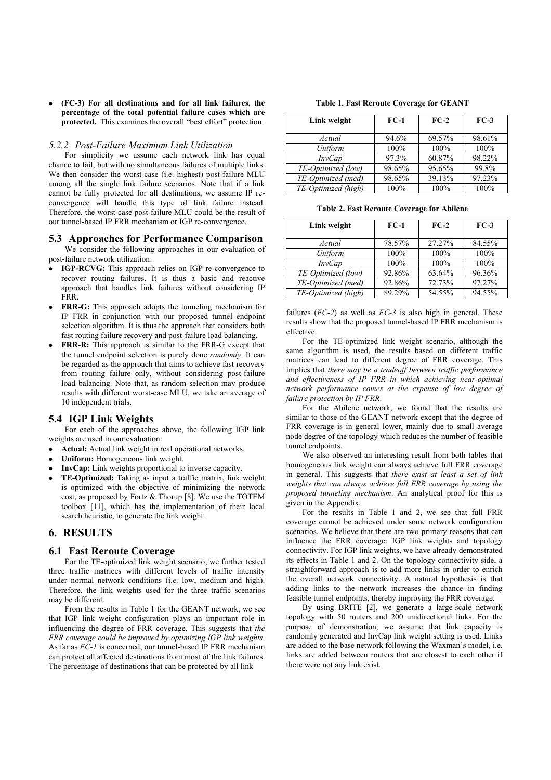<sup>z</sup> **(FC-3) For all destinations and for all link failures, the percentage of the total potential failure cases which are protected.** This examines the overall "best effort" protection.

#### *5.2.2 Post-Failure Maximum Link Utilization*

For simplicity we assume each network link has equal chance to fail, but with no simultaneous failures of multiple links. We then consider the worst-case (i.e. highest) post-failure MLU among all the single link failure scenarios. Note that if a link cannot be fully protected for all destinations, we assume IP reconvergence will handle this type of link failure instead. Therefore, the worst-case post-failure MLU could be the result of our tunnel-based IP FRR mechanism or IGP re-convergence.

### **5.3 Approaches for Performance Comparison**

We consider the following approaches in our evaluation of post-failure network utilization:

- IGP-RCVG: This approach relies on IGP re-convergence to recover routing failures. It is thus a basic and reactive approach that handles link failures without considering IP FRR.
- **FRR-G:** This approach adopts the tunneling mechanism for IP FRR in conjunction with our proposed tunnel endpoint selection algorithm. It is thus the approach that considers both fast routing failure recovery and post-failure load balancing.
- **FRR-R:** This approach is similar to the FRR-G except that the tunnel endpoint selection is purely done *randomly*. It can be regarded as the approach that aims to achieve fast recovery from routing failure only, without considering post-failure load balancing. Note that, as random selection may produce results with different worst-case MLU, we take an average of 10 independent trials.

## **5.4 IGP Link Weights**

For each of the approaches above, the following IGP link weights are used in our evaluation:

- Actual: Actual link weight in real operational networks.
- **Uniform:** Homogeneous link weight.
- **InvCap:** Link weights proportional to inverse capacity.
- <sup>z</sup> **TE-Optimized:** Taking as input a traffic matrix, link weight is optimized with the objective of minimizing the network cost, as proposed by Fortz & Thorup [8]. We use the TOTEM toolbox [11], which has the implementation of their local search heuristic, to generate the link weight.

## **6. RESULTS**

## **6.1 Fast Reroute Coverage**

For the TE-optimized link weight scenario, we further tested three traffic matrices with different levels of traffic intensity under normal network conditions (i.e. low, medium and high). Therefore, the link weights used for the three traffic scenarios may be different.

From the results in Table 1 for the GEANT network, we see that IGP link weight configuration plays an important role in influencing the degree of FRR coverage. This suggests that *the FRR coverage could be improved by optimizing IGP link weights*. As far as *FC-1* is concerned, our tunnel-based IP FRR mechanism can protect all affected destinations from most of the link failures. The percentage of destinations that can be protected by all link

**Table 1. Fast Reroute Coverage for GEANT** 

| Link weight         | $FC-1$ | $FC-2$ | $FC-3$  |
|---------------------|--------|--------|---------|
| Actual              | 94.6%  | 69.57% | 98.61%  |
| Uniform             | 100%   | 100%   | $100\%$ |
| <i>InvCap</i>       | 97.3%  | 60.87% | 98.22%  |
| TE-Optimized (low)  | 98.65% | 95.65% | 99.8%   |
| TE-Optimized (med)  | 98.65% | 39.13% | 97.23%  |
| TE-Optimized (high) | 100%   | 100%   | 100%    |

**Table 2. Fast Reroute Coverage for Abilene** 

| Link weight         | $FC-1$ | $FC-2$ | $FC-3$ |
|---------------------|--------|--------|--------|
| Actual              | 78.57% | 27.27% | 84.55% |
| Uniform             | 100%   | 100%   | 100%   |
| <b>InvCap</b>       | 100%   | 100%   | 100%   |
| TE-Optimized (low)  | 92.86% | 63.64% | 96.36% |
| TE-Optimized (med)  | 92.86% | 72.73% | 97.27% |
| TE-Optimized (high) | 89.29% | 54.55% | 94.55% |

failures (*FC-2*) as well as *FC-3* is also high in general. These results show that the proposed tunnel-based IP FRR mechanism is effective.

For the TE-optimized link weight scenario, although the same algorithm is used, the results based on different traffic matrices can lead to different degree of FRR coverage. This implies that *there may be a tradeoff between traffic performance and effectiveness of IP FRR in which achieving near-optimal network performance comes at the expense of low degree of failure protection by IP FRR*.

For the Abilene network, we found that the results are similar to those of the GEANT network except that the degree of FRR coverage is in general lower, mainly due to small average node degree of the topology which reduces the number of feasible tunnel endpoints.

We also observed an interesting result from both tables that homogeneous link weight can always achieve full FRR coverage in general. This suggests that *there exist at least a set of link weights that can always achieve full FRR coverage by using the proposed tunneling mechanism*. An analytical proof for this is given in the Appendix.

For the results in Table 1 and 2, we see that full FRR coverage cannot be achieved under some network configuration scenarios. We believe that there are two primary reasons that can influence the FRR coverage: IGP link weights and topology connectivity. For IGP link weights, we have already demonstrated its effects in Table 1 and 2. On the topology connectivity side, a straightforward approach is to add more links in order to enrich the overall network connectivity. A natural hypothesis is that adding links to the network increases the chance in finding feasible tunnel endpoints, thereby improving the FRR coverage.

By using BRITE [2], we generate a large-scale network topology with 50 routers and 200 unidirectional links. For the purpose of demonstration, we assume that link capacity is randomly generated and InvCap link weight setting is used. Links are added to the base network following the Waxman's model, i.e. links are added between routers that are closest to each other if there were not any link exist.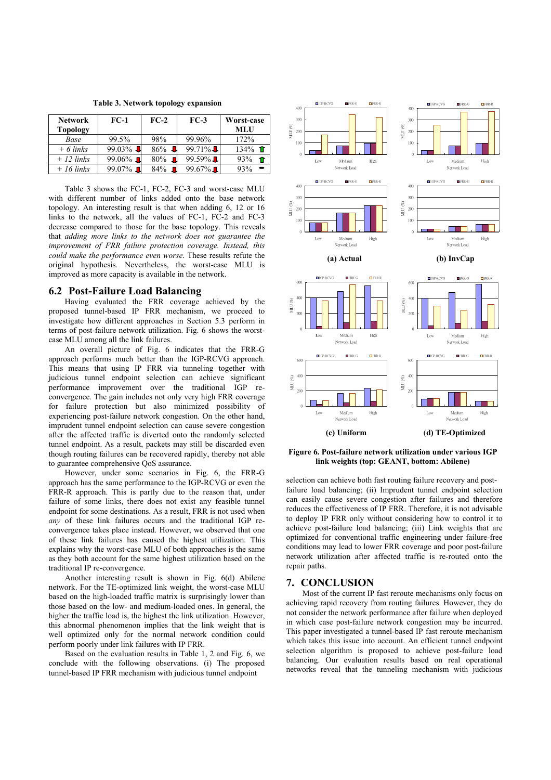**Table 3. Network topology expansion** 

| <b>Network</b>  | FC-1                     | $FC-2$                | $FC-3$             | Worst-case      |
|-----------------|--------------------------|-----------------------|--------------------|-----------------|
| <b>Topology</b> |                          |                       |                    | MLU             |
| Base            | 99.5%                    | 98%                   | 99.96%             | 172%            |
| $+6$ links      | $99.03\%$                | $86\%$ J              | $99.71\%$          | $134\%$ 1       |
| $+12$ links     | 99.06% $\blacksquare$    | $80\%$ $\blacksquare$ | $99.59\%$ <b>L</b> | 93%<br><b>f</b> |
| $+16$ links     | $99.07\%$ $\blacksquare$ | 84% $\blacksquare$    | $99.67\%$          | 93%             |

Table 3 shows the FC-1, FC-2, FC-3 and worst-case MLU with different number of links added onto the base network topology. An interesting result is that when adding 6, 12 or 16 links to the network, all the values of FC-1, FC-2 and FC-3 decrease compared to those for the base topology. This reveals that *adding more links to the network does not guarantee the improvement of FRR failure protection coverage. Instead, this could make the performance even worse*. These results refute the original hypothesis. Nevertheless, the worst-case MLU is improved as more capacity is available in the network.

## **6.2 Post-Failure Load Balancing**

Having evaluated the FRR coverage achieved by the proposed tunnel-based IP FRR mechanism, we proceed to investigate how different approaches in Section 5.3 perform in terms of post-failure network utilization. Fig. 6 shows the worstcase MLU among all the link failures.

An overall picture of Fig. 6 indicates that the FRR-G approach performs much better than the IGP-RCVG approach. This means that using IP FRR via tunneling together with judicious tunnel endpoint selection can achieve significant performance improvement over the traditional IGP reconvergence. The gain includes not only very high FRR coverage for failure protection but also minimized possibility of experiencing post-failure network congestion. On the other hand, imprudent tunnel endpoint selection can cause severe congestion after the affected traffic is diverted onto the randomly selected tunnel endpoint. As a result, packets may still be discarded even though routing failures can be recovered rapidly, thereby not able to guarantee comprehensive QoS assurance.

However, under some scenarios in Fig. 6, the FRR-G approach has the same performance to the IGP-RCVG or even the FRR-R approach. This is partly due to the reason that, under failure of some links, there does not exist any feasible tunnel endpoint for some destinations. As a result, FRR is not used when *any* of these link failures occurs and the traditional IGP reconvergence takes place instead. However, we observed that one of these link failures has caused the highest utilization. This explains why the worst-case MLU of both approaches is the same as they both account for the same highest utilization based on the traditional IP re-convergence.

Another interesting result is shown in Fig. 6(d) Abilene network. For the TE-optimized link weight, the worst-case MLU based on the high-loaded traffic matrix is surprisingly lower than those based on the low- and medium-loaded ones. In general, the higher the traffic load is, the highest the link utilization. However, this abnormal phenomenon implies that the link weight that is well optimized only for the normal network condition could perform poorly under link failures with IP FRR.

Based on the evaluation results in Table 1, 2 and Fig. 6, we conclude with the following observations. (i) The proposed tunnel-based IP FRR mechanism with judicious tunnel endpoint



**Figure 6. Post-failure network utilization under various IGP link weights (top: GEANT, bottom: Abilene)**

selection can achieve both fast routing failure recovery and postfailure load balancing; (ii) Imprudent tunnel endpoint selection can easily cause severe congestion after failures and therefore reduces the effectiveness of IP FRR. Therefore, it is not advisable to deploy IP FRR only without considering how to control it to achieve post-failure load balancing; (iii) Link weights that are optimized for conventional traffic engineering under failure-free conditions may lead to lower FRR coverage and poor post-failure network utilization after affected traffic is re-routed onto the repair paths.

## **7. CONCLUSION**

Most of the current IP fast reroute mechanisms only focus on achieving rapid recovery from routing failures. However, they do not consider the network performance after failure when deployed in which case post-failure network congestion may be incurred. This paper investigated a tunnel-based IP fast reroute mechanism which takes this issue into account. An efficient tunnel endpoint selection algorithm is proposed to achieve post-failure load balancing. Our evaluation results based on real operational networks reveal that the tunneling mechanism with judicious